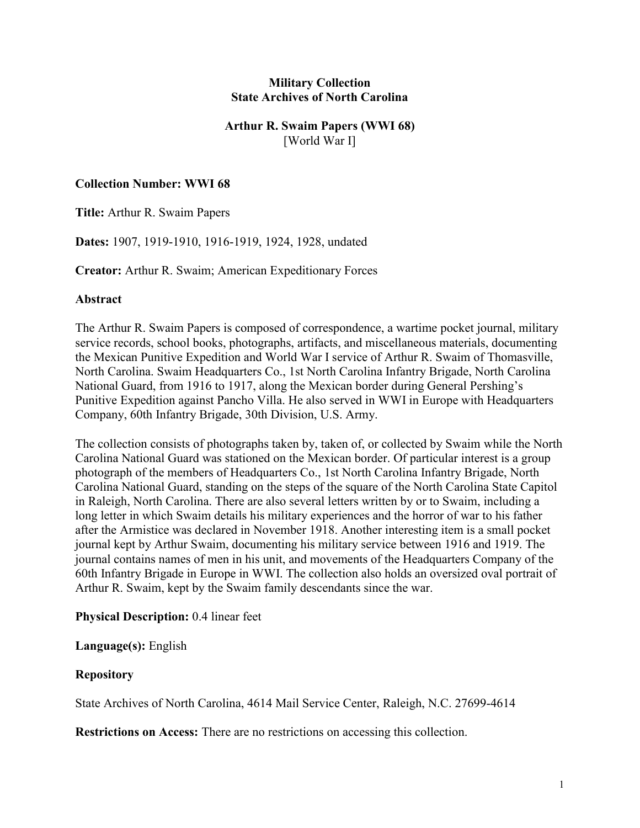# **Military Collection State Archives of North Carolina**

# **Arthur R. Swaim Papers (WWI 68)** [World War I]

# **Collection Number: WWI 68**

**Title:** Arthur R. Swaim Papers

**Dates:** 1907, 1919-1910, 1916-1919, 1924, 1928, undated

**Creator:** Arthur R. Swaim; American Expeditionary Forces

### **Abstract**

The Arthur R. Swaim Papers is composed of correspondence, a wartime pocket journal, military service records, school books, photographs, artifacts, and miscellaneous materials, documenting the Mexican Punitive Expedition and World War I service of Arthur R. Swaim of Thomasville, North Carolina. Swaim Headquarters Co., 1st North Carolina Infantry Brigade, North Carolina National Guard, from 1916 to 1917, along the Mexican border during General Pershing's Punitive Expedition against Pancho Villa. He also served in WWI in Europe with Headquarters Company, 60th Infantry Brigade, 30th Division, U.S. Army.

The collection consists of photographs taken by, taken of, or collected by Swaim while the North Carolina National Guard was stationed on the Mexican border. Of particular interest is a group photograph of the members of Headquarters Co., 1st North Carolina Infantry Brigade, North Carolina National Guard, standing on the steps of the square of the North Carolina State Capitol in Raleigh, North Carolina. There are also several letters written by or to Swaim, including a long letter in which Swaim details his military experiences and the horror of war to his father after the Armistice was declared in November 1918. Another interesting item is a small pocket journal kept by Arthur Swaim, documenting his military service between 1916 and 1919. The journal contains names of men in his unit, and movements of the Headquarters Company of the 60th Infantry Brigade in Europe in WWI. The collection also holds an oversized oval portrait of Arthur R. Swaim, kept by the Swaim family descendants since the war.

### **Physical Description:** 0.4 linear feet

### **Language(s):** English

### **Repository**

State Archives of North Carolina, 4614 Mail Service Center, Raleigh, N.C. 27699-4614

**Restrictions on Access:** There are no restrictions on accessing this collection.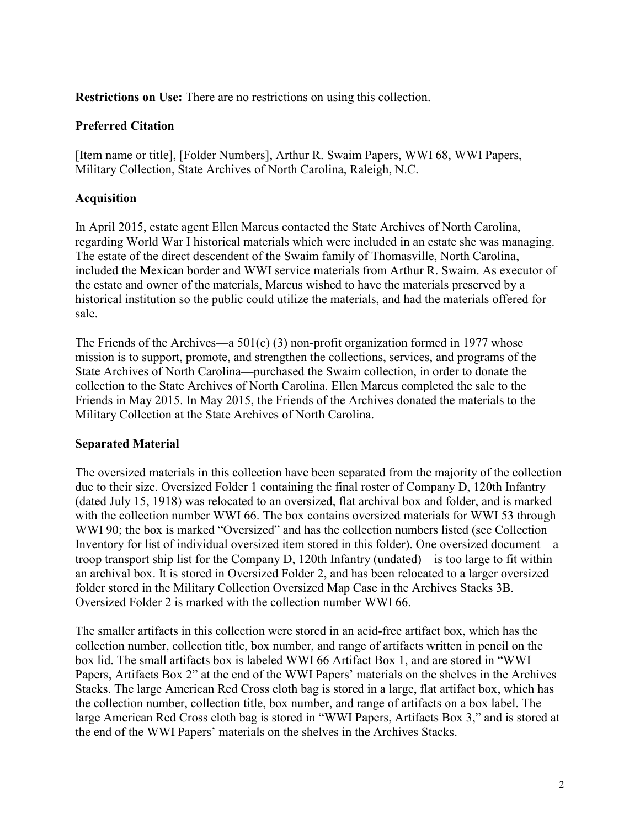**Restrictions on Use:** There are no restrictions on using this collection.

# **Preferred Citation**

[Item name or title], [Folder Numbers], Arthur R. Swaim Papers, WWI 68, WWI Papers, Military Collection, State Archives of North Carolina, Raleigh, N.C.

# **Acquisition**

In April 2015, estate agent Ellen Marcus contacted the State Archives of North Carolina, regarding World War I historical materials which were included in an estate she was managing. The estate of the direct descendent of the Swaim family of Thomasville, North Carolina, included the Mexican border and WWI service materials from Arthur R. Swaim. As executor of the estate and owner of the materials, Marcus wished to have the materials preserved by a historical institution so the public could utilize the materials, and had the materials offered for sale.

The Friends of the Archives—a 501(c) (3) non-profit organization formed in 1977 whose mission is to support, promote, and strengthen the collections, services, and programs of the State Archives of North Carolina—purchased the Swaim collection, in order to donate the collection to the State Archives of North Carolina. Ellen Marcus completed the sale to the Friends in May 2015. In May 2015, the Friends of the Archives donated the materials to the Military Collection at the State Archives of North Carolina.

# **Separated Material**

The oversized materials in this collection have been separated from the majority of the collection due to their size. Oversized Folder 1 containing the final roster of Company D, 120th Infantry (dated July 15, 1918) was relocated to an oversized, flat archival box and folder, and is marked with the collection number WWI 66. The box contains oversized materials for WWI 53 through WWI 90; the box is marked "Oversized" and has the collection numbers listed (see Collection Inventory for list of individual oversized item stored in this folder). One oversized document—a troop transport ship list for the Company D, 120th Infantry (undated)—is too large to fit within an archival box. It is stored in Oversized Folder 2, and has been relocated to a larger oversized folder stored in the Military Collection Oversized Map Case in the Archives Stacks 3B. Oversized Folder 2 is marked with the collection number WWI 66.

The smaller artifacts in this collection were stored in an acid-free artifact box, which has the collection number, collection title, box number, and range of artifacts written in pencil on the box lid. The small artifacts box is labeled WWI 66 Artifact Box 1, and are stored in "WWI Papers, Artifacts Box 2" at the end of the WWI Papers' materials on the shelves in the Archives Stacks. The large American Red Cross cloth bag is stored in a large, flat artifact box, which has the collection number, collection title, box number, and range of artifacts on a box label. The large American Red Cross cloth bag is stored in "WWI Papers, Artifacts Box 3," and is stored at the end of the WWI Papers' materials on the shelves in the Archives Stacks.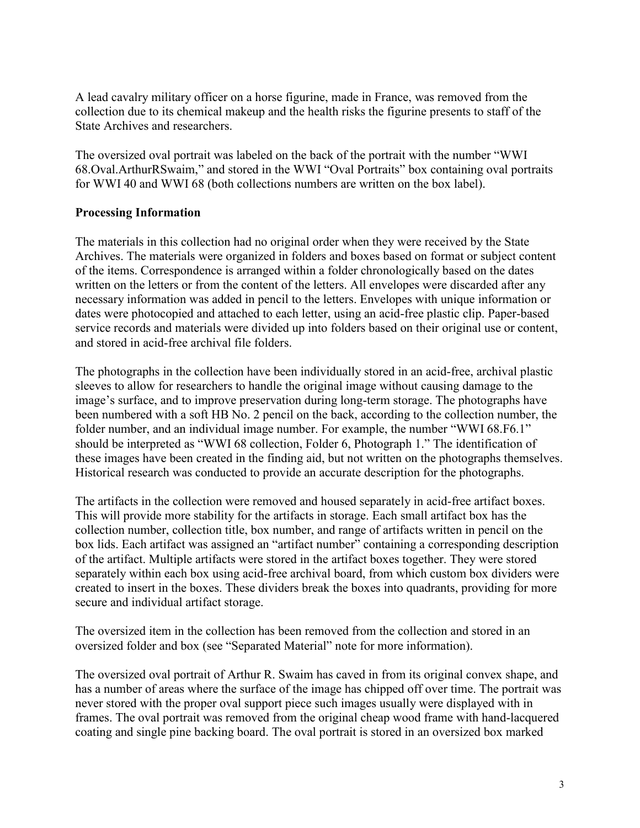A lead cavalry military officer on a horse figurine, made in France, was removed from the collection due to its chemical makeup and the health risks the figurine presents to staff of the State Archives and researchers.

The oversized oval portrait was labeled on the back of the portrait with the number "WWI 68.Oval.ArthurRSwaim," and stored in the WWI "Oval Portraits" box containing oval portraits for WWI 40 and WWI 68 (both collections numbers are written on the box label).

# **Processing Information**

The materials in this collection had no original order when they were received by the State Archives. The materials were organized in folders and boxes based on format or subject content of the items. Correspondence is arranged within a folder chronologically based on the dates written on the letters or from the content of the letters. All envelopes were discarded after any necessary information was added in pencil to the letters. Envelopes with unique information or dates were photocopied and attached to each letter, using an acid-free plastic clip. Paper-based service records and materials were divided up into folders based on their original use or content, and stored in acid-free archival file folders.

The photographs in the collection have been individually stored in an acid-free, archival plastic sleeves to allow for researchers to handle the original image without causing damage to the image's surface, and to improve preservation during long-term storage. The photographs have been numbered with a soft HB No. 2 pencil on the back, according to the collection number, the folder number, and an individual image number. For example, the number "WWI 68.F6.1" should be interpreted as "WWI 68 collection, Folder 6, Photograph 1." The identification of these images have been created in the finding aid, but not written on the photographs themselves. Historical research was conducted to provide an accurate description for the photographs.

The artifacts in the collection were removed and housed separately in acid-free artifact boxes. This will provide more stability for the artifacts in storage. Each small artifact box has the collection number, collection title, box number, and range of artifacts written in pencil on the box lids. Each artifact was assigned an "artifact number" containing a corresponding description of the artifact. Multiple artifacts were stored in the artifact boxes together. They were stored separately within each box using acid-free archival board, from which custom box dividers were created to insert in the boxes. These dividers break the boxes into quadrants, providing for more secure and individual artifact storage.

The oversized item in the collection has been removed from the collection and stored in an oversized folder and box (see "Separated Material" note for more information).

The oversized oval portrait of Arthur R. Swaim has caved in from its original convex shape, and has a number of areas where the surface of the image has chipped off over time. The portrait was never stored with the proper oval support piece such images usually were displayed with in frames. The oval portrait was removed from the original cheap wood frame with hand-lacquered coating and single pine backing board. The oval portrait is stored in an oversized box marked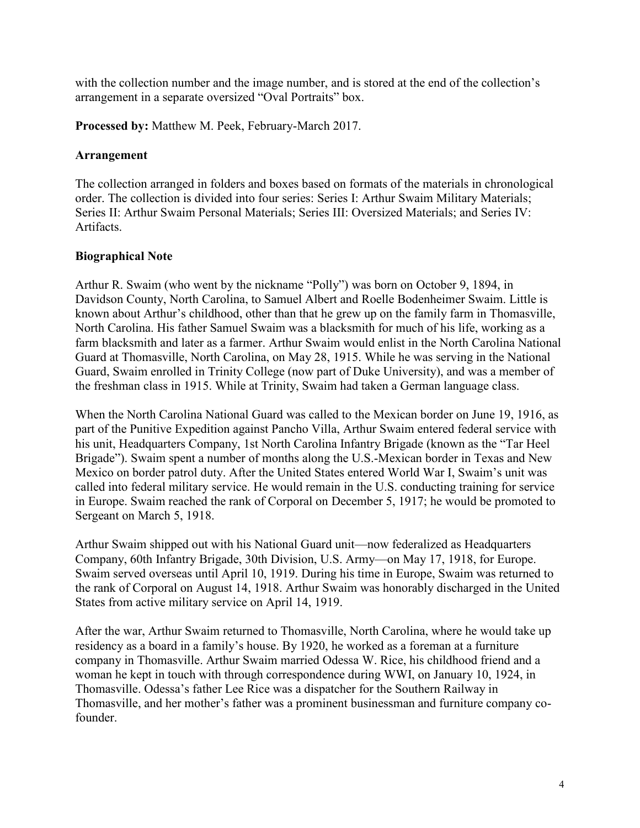with the collection number and the image number, and is stored at the end of the collection's arrangement in a separate oversized "Oval Portraits" box.

**Processed by:** Matthew M. Peek, February-March 2017.

# **Arrangement**

The collection arranged in folders and boxes based on formats of the materials in chronological order. The collection is divided into four series: Series I: Arthur Swaim Military Materials; Series II: Arthur Swaim Personal Materials; Series III: Oversized Materials; and Series IV: Artifacts.

# **Biographical Note**

Arthur R. Swaim (who went by the nickname "Polly") was born on October 9, 1894, in Davidson County, North Carolina, to Samuel Albert and Roelle Bodenheimer Swaim. Little is known about Arthur's childhood, other than that he grew up on the family farm in Thomasville, North Carolina. His father Samuel Swaim was a blacksmith for much of his life, working as a farm blacksmith and later as a farmer. Arthur Swaim would enlist in the North Carolina National Guard at Thomasville, North Carolina, on May 28, 1915. While he was serving in the National Guard, Swaim enrolled in Trinity College (now part of Duke University), and was a member of the freshman class in 1915. While at Trinity, Swaim had taken a German language class.

When the North Carolina National Guard was called to the Mexican border on June 19, 1916, as part of the Punitive Expedition against Pancho Villa, Arthur Swaim entered federal service with his unit, Headquarters Company, 1st North Carolina Infantry Brigade (known as the "Tar Heel Brigade"). Swaim spent a number of months along the U.S.-Mexican border in Texas and New Mexico on border patrol duty. After the United States entered World War I, Swaim's unit was called into federal military service. He would remain in the U.S. conducting training for service in Europe. Swaim reached the rank of Corporal on December 5, 1917; he would be promoted to Sergeant on March 5, 1918.

Arthur Swaim shipped out with his National Guard unit—now federalized as Headquarters Company, 60th Infantry Brigade, 30th Division, U.S. Army—on May 17, 1918, for Europe. Swaim served overseas until April 10, 1919. During his time in Europe, Swaim was returned to the rank of Corporal on August 14, 1918. Arthur Swaim was honorably discharged in the United States from active military service on April 14, 1919.

After the war, Arthur Swaim returned to Thomasville, North Carolina, where he would take up residency as a board in a family's house. By 1920, he worked as a foreman at a furniture company in Thomasville. Arthur Swaim married Odessa W. Rice, his childhood friend and a woman he kept in touch with through correspondence during WWI, on January 10, 1924, in Thomasville. Odessa's father Lee Rice was a dispatcher for the Southern Railway in Thomasville, and her mother's father was a prominent businessman and furniture company cofounder.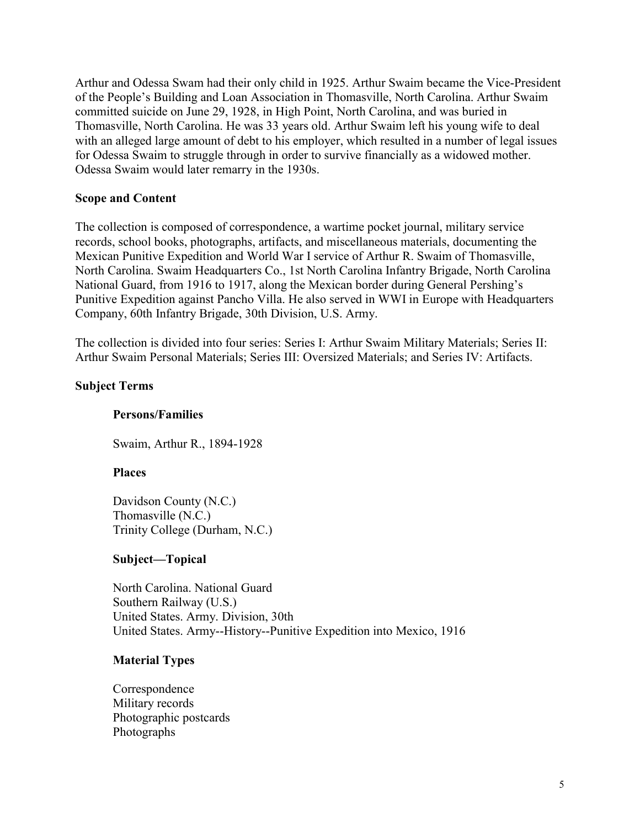Arthur and Odessa Swam had their only child in 1925. Arthur Swaim became the Vice-President of the People's Building and Loan Association in Thomasville, North Carolina. Arthur Swaim committed suicide on June 29, 1928, in High Point, North Carolina, and was buried in Thomasville, North Carolina. He was 33 years old. Arthur Swaim left his young wife to deal with an alleged large amount of debt to his employer, which resulted in a number of legal issues for Odessa Swaim to struggle through in order to survive financially as a widowed mother. Odessa Swaim would later remarry in the 1930s.

### **Scope and Content**

The collection is composed of correspondence, a wartime pocket journal, military service records, school books, photographs, artifacts, and miscellaneous materials, documenting the Mexican Punitive Expedition and World War I service of Arthur R. Swaim of Thomasville, North Carolina. Swaim Headquarters Co., 1st North Carolina Infantry Brigade, North Carolina National Guard, from 1916 to 1917, along the Mexican border during General Pershing's Punitive Expedition against Pancho Villa. He also served in WWI in Europe with Headquarters Company, 60th Infantry Brigade, 30th Division, U.S. Army.

The collection is divided into four series: Series I: Arthur Swaim Military Materials; Series II: Arthur Swaim Personal Materials; Series III: Oversized Materials; and Series IV: Artifacts.

### **Subject Terms**

# **Persons/Families**

Swaim, Arthur R., 1894-1928

#### **Places**

Davidson County (N.C.) Thomasville (N.C.) Trinity College (Durham, N.C.)

### **Subject—Topical**

North Carolina. National Guard Southern Railway (U.S.) United States. Army. Division, 30th United States. Army--History--Punitive Expedition into Mexico, 1916

#### **Material Types**

Correspondence Military records Photographic postcards Photographs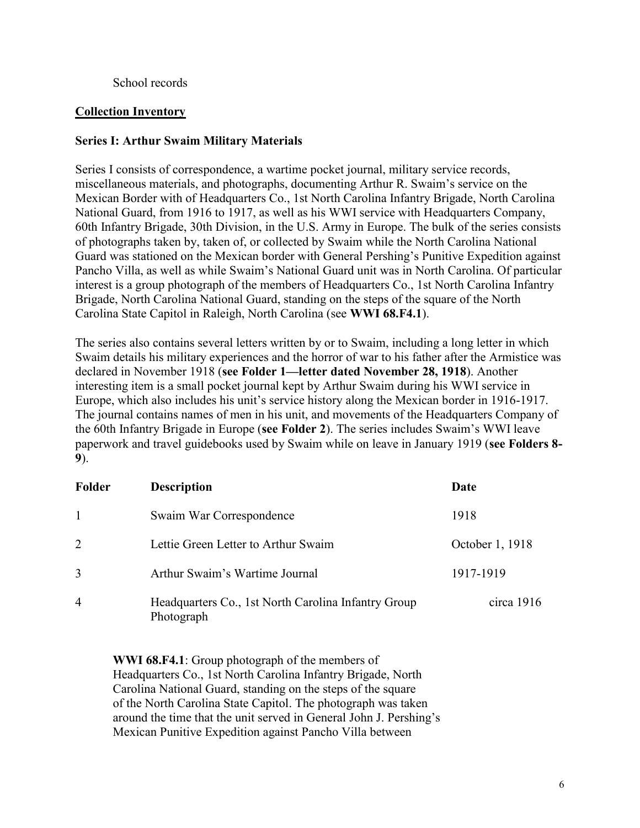# School records

# **Collection Inventory**

# **Series I: Arthur Swaim Military Materials**

Series I consists of correspondence, a wartime pocket journal, military service records, miscellaneous materials, and photographs, documenting Arthur R. Swaim's service on the Mexican Border with of Headquarters Co., 1st North Carolina Infantry Brigade, North Carolina National Guard, from 1916 to 1917, as well as his WWI service with Headquarters Company, 60th Infantry Brigade, 30th Division, in the U.S. Army in Europe. The bulk of the series consists of photographs taken by, taken of, or collected by Swaim while the North Carolina National Guard was stationed on the Mexican border with General Pershing's Punitive Expedition against Pancho Villa, as well as while Swaim's National Guard unit was in North Carolina. Of particular interest is a group photograph of the members of Headquarters Co., 1st North Carolina Infantry Brigade, North Carolina National Guard, standing on the steps of the square of the North Carolina State Capitol in Raleigh, North Carolina (see **WWI 68.F4.1**).

The series also contains several letters written by or to Swaim, including a long letter in which Swaim details his military experiences and the horror of war to his father after the Armistice was declared in November 1918 (**see Folder 1—letter dated November 28, 1918**). Another interesting item is a small pocket journal kept by Arthur Swaim during his WWI service in Europe, which also includes his unit's service history along the Mexican border in 1916-1917. The journal contains names of men in his unit, and movements of the Headquarters Company of the 60th Infantry Brigade in Europe (**see Folder 2**). The series includes Swaim's WWI leave paperwork and travel guidebooks used by Swaim while on leave in January 1919 (**see Folders 8- 9**).

| Folder         | <b>Description</b>                                                | Date            |  |
|----------------|-------------------------------------------------------------------|-----------------|--|
| $\overline{1}$ | Swaim War Correspondence                                          | 1918            |  |
| 2              | Lettie Green Letter to Arthur Swaim                               | October 1, 1918 |  |
| 3              | Arthur Swaim's Wartime Journal                                    | 1917-1919       |  |
| $\overline{4}$ | Headquarters Co., 1st North Carolina Infantry Group<br>Photograph | circa $1916$    |  |

**WWI 68.F4.1**: Group photograph of the members of Headquarters Co., 1st North Carolina Infantry Brigade, North Carolina National Guard, standing on the steps of the square of the North Carolina State Capitol. The photograph was taken around the time that the unit served in General John J. Pershing's Mexican Punitive Expedition against Pancho Villa between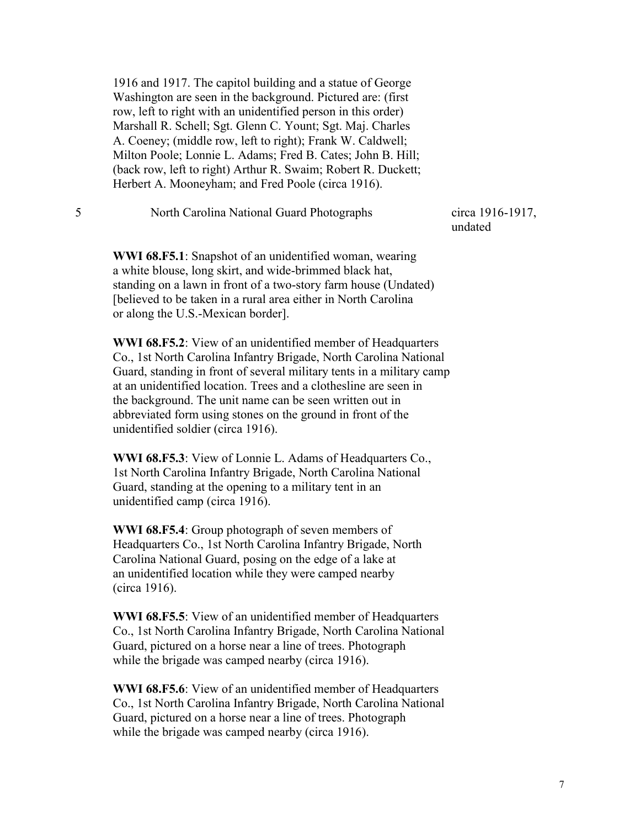1916 and 1917. The capitol building and a statue of George Washington are seen in the background. Pictured are: (first row, left to right with an unidentified person in this order) Marshall R. Schell; Sgt. Glenn C. Yount; Sgt. Maj. Charles A. Coeney; (middle row, left to right); Frank W. Caldwell; Milton Poole; Lonnie L. Adams; Fred B. Cates; John B. Hill; (back row, left to right) Arthur R. Swaim; Robert R. Duckett; Herbert A. Mooneyham; and Fred Poole (circa 1916).

#### 5 North Carolina National Guard Photographs circa 1916-1917,

undated

**WWI 68.F5.1**: Snapshot of an unidentified woman, wearing a white blouse, long skirt, and wide-brimmed black hat, standing on a lawn in front of a two-story farm house (Undated) [believed to be taken in a rural area either in North Carolina or along the U.S.-Mexican border].

**WWI 68.F5.2**: View of an unidentified member of Headquarters Co., 1st North Carolina Infantry Brigade, North Carolina National Guard, standing in front of several military tents in a military camp at an unidentified location. Trees and a clothesline are seen in the background. The unit name can be seen written out in abbreviated form using stones on the ground in front of the unidentified soldier (circa 1916).

**WWI 68.F5.3**: View of Lonnie L. Adams of Headquarters Co., 1st North Carolina Infantry Brigade, North Carolina National Guard, standing at the opening to a military tent in an unidentified camp (circa 1916).

**WWI 68.F5.4**: Group photograph of seven members of Headquarters Co., 1st North Carolina Infantry Brigade, North Carolina National Guard, posing on the edge of a lake at an unidentified location while they were camped nearby (circa 1916).

**WWI 68.F5.5**: View of an unidentified member of Headquarters Co., 1st North Carolina Infantry Brigade, North Carolina National Guard, pictured on a horse near a line of trees. Photograph while the brigade was camped nearby (circa 1916).

**WWI 68.F5.6**: View of an unidentified member of Headquarters Co., 1st North Carolina Infantry Brigade, North Carolina National Guard, pictured on a horse near a line of trees. Photograph while the brigade was camped nearby (circa 1916).

7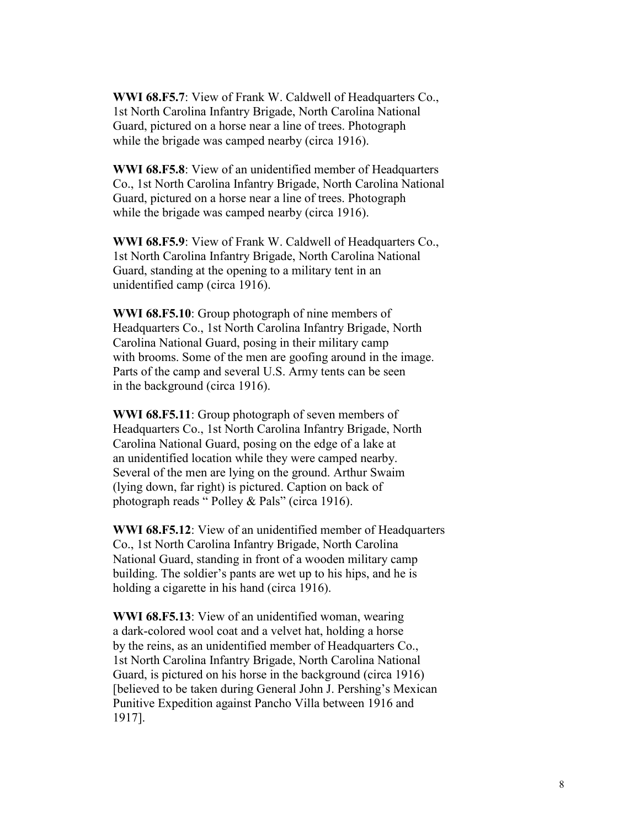**WWI 68.F5.7**: View of Frank W. Caldwell of Headquarters Co., 1st North Carolina Infantry Brigade, North Carolina National Guard, pictured on a horse near a line of trees. Photograph while the brigade was camped nearby (circa 1916).

**WWI 68.F5.8**: View of an unidentified member of Headquarters Co., 1st North Carolina Infantry Brigade, North Carolina National Guard, pictured on a horse near a line of trees. Photograph while the brigade was camped nearby (circa 1916).

**WWI 68.F5.9**: View of Frank W. Caldwell of Headquarters Co., 1st North Carolina Infantry Brigade, North Carolina National Guard, standing at the opening to a military tent in an unidentified camp (circa 1916).

**WWI 68.F5.10**: Group photograph of nine members of Headquarters Co., 1st North Carolina Infantry Brigade, North Carolina National Guard, posing in their military camp with brooms. Some of the men are goofing around in the image. Parts of the camp and several U.S. Army tents can be seen in the background (circa 1916).

**WWI 68.F5.11**: Group photograph of seven members of Headquarters Co., 1st North Carolina Infantry Brigade, North Carolina National Guard, posing on the edge of a lake at an unidentified location while they were camped nearby. Several of the men are lying on the ground. Arthur Swaim (lying down, far right) is pictured. Caption on back of photograph reads " Polley & Pals" (circa 1916).

**WWI 68.F5.12**: View of an unidentified member of Headquarters Co., 1st North Carolina Infantry Brigade, North Carolina National Guard, standing in front of a wooden military camp building. The soldier's pants are wet up to his hips, and he is holding a cigarette in his hand (circa 1916).

**WWI 68.F5.13**: View of an unidentified woman, wearing a dark-colored wool coat and a velvet hat, holding a horse by the reins, as an unidentified member of Headquarters Co., 1st North Carolina Infantry Brigade, North Carolina National Guard, is pictured on his horse in the background (circa 1916) [believed to be taken during General John J. Pershing's Mexican Punitive Expedition against Pancho Villa between 1916 and 1917].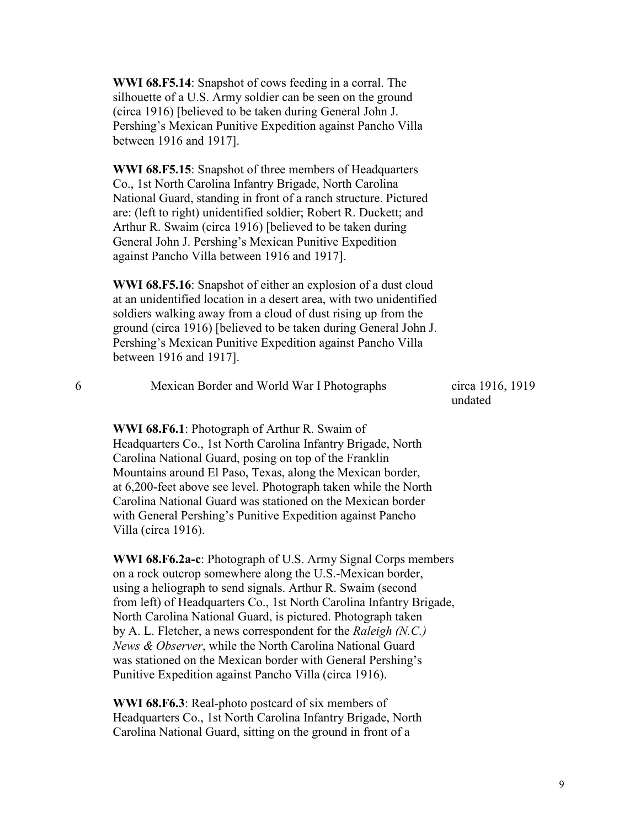**WWI 68.F5.14**: Snapshot of cows feeding in a corral. The silhouette of a U.S. Army soldier can be seen on the ground (circa 1916) [believed to be taken during General John J. Pershing's Mexican Punitive Expedition against Pancho Villa between 1916 and 1917].

**WWI 68.F5.15**: Snapshot of three members of Headquarters Co., 1st North Carolina Infantry Brigade, North Carolina National Guard, standing in front of a ranch structure. Pictured are: (left to right) unidentified soldier; Robert R. Duckett; and Arthur R. Swaim (circa 1916) [believed to be taken during General John J. Pershing's Mexican Punitive Expedition against Pancho Villa between 1916 and 1917].

**WWI 68.F5.16**: Snapshot of either an explosion of a dust cloud at an unidentified location in a desert area, with two unidentified soldiers walking away from a cloud of dust rising up from the ground (circa 1916) [believed to be taken during General John J. Pershing's Mexican Punitive Expedition against Pancho Villa between 1916 and 1917].

| Mexican Border and World War I Photographs | circa 1916, 1919 |
|--------------------------------------------|------------------|
|                                            | undated          |

**WWI 68.F6.1**: Photograph of Arthur R. Swaim of Headquarters Co., 1st North Carolina Infantry Brigade, North Carolina National Guard, posing on top of the Franklin Mountains around El Paso, Texas, along the Mexican border, at 6,200-feet above see level. Photograph taken while the North Carolina National Guard was stationed on the Mexican border with General Pershing's Punitive Expedition against Pancho Villa (circa 1916).

**WWI 68.F6.2a-c**: Photograph of U.S. Army Signal Corps members on a rock outcrop somewhere along the U.S.-Mexican border, using a heliograph to send signals. Arthur R. Swaim (second from left) of Headquarters Co., 1st North Carolina Infantry Brigade, North Carolina National Guard, is pictured. Photograph taken by A. L. Fletcher, a news correspondent for the *Raleigh (N.C.) News & Observer*, while the North Carolina National Guard was stationed on the Mexican border with General Pershing's Punitive Expedition against Pancho Villa (circa 1916).

**WWI 68.F6.3**: Real-photo postcard of six members of Headquarters Co., 1st North Carolina Infantry Brigade, North Carolina National Guard, sitting on the ground in front of a

9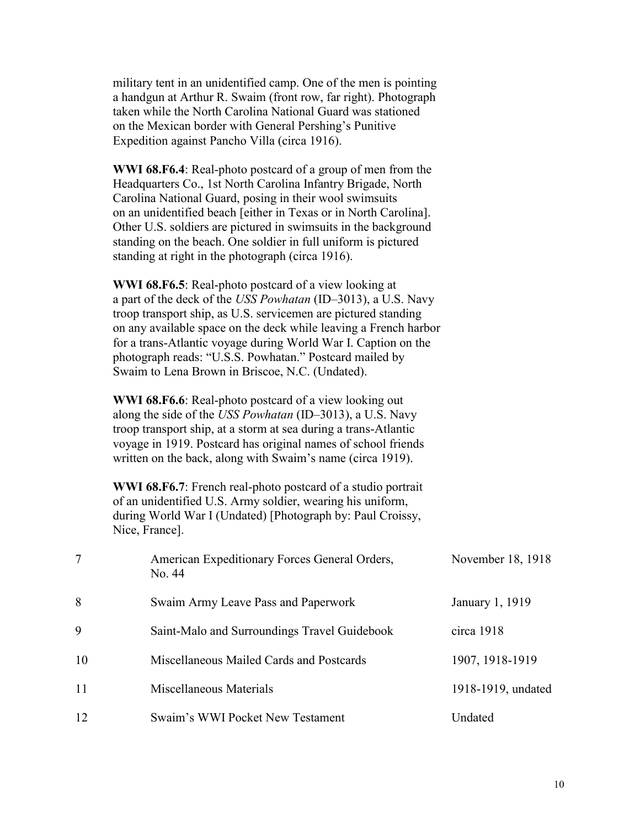military tent in an unidentified camp. One of the men is pointing a handgun at Arthur R. Swaim (front row, far right). Photograph taken while the North Carolina National Guard was stationed on the Mexican border with General Pershing's Punitive Expedition against Pancho Villa (circa 1916).

**WWI 68.F6.4**: Real-photo postcard of a group of men from the Headquarters Co., 1st North Carolina Infantry Brigade, North Carolina National Guard, posing in their wool swimsuits on an unidentified beach [either in Texas or in North Carolina]. Other U.S. soldiers are pictured in swimsuits in the background standing on the beach. One soldier in full uniform is pictured standing at right in the photograph (circa 1916).

**WWI 68.F6.5**: Real-photo postcard of a view looking at a part of the deck of the *USS Powhatan* (ID–3013), a U.S. Navy troop transport ship, as U.S. servicemen are pictured standing on any available space on the deck while leaving a French harbor for a trans-Atlantic voyage during World War I. Caption on the photograph reads: "U.S.S. Powhatan." Postcard mailed by Swaim to Lena Brown in Briscoe, N.C. (Undated).

**WWI 68.F6.6**: Real-photo postcard of a view looking out along the side of the *USS Powhatan* (ID–3013), a U.S. Navy troop transport ship, at a storm at sea during a trans-Atlantic voyage in 1919. Postcard has original names of school friends written on the back, along with Swaim's name (circa 1919).

**WWI 68.F6.7**: French real-photo postcard of a studio portrait of an unidentified U.S. Army soldier, wearing his uniform, during World War I (Undated) [Photograph by: Paul Croissy, Nice, France].

| 7  | American Expeditionary Forces General Orders,<br>No. 44 | November 18, 1918  |
|----|---------------------------------------------------------|--------------------|
| 8  | Swaim Army Leave Pass and Paperwork                     | January 1, 1919    |
| 9  | Saint-Malo and Surroundings Travel Guidebook            | circa 1918         |
| 10 | Miscellaneous Mailed Cards and Postcards                | 1907, 1918-1919    |
| 11 | Miscellaneous Materials                                 | 1918-1919, undated |
| 12 | Swaim's WWI Pocket New Testament                        | Undated            |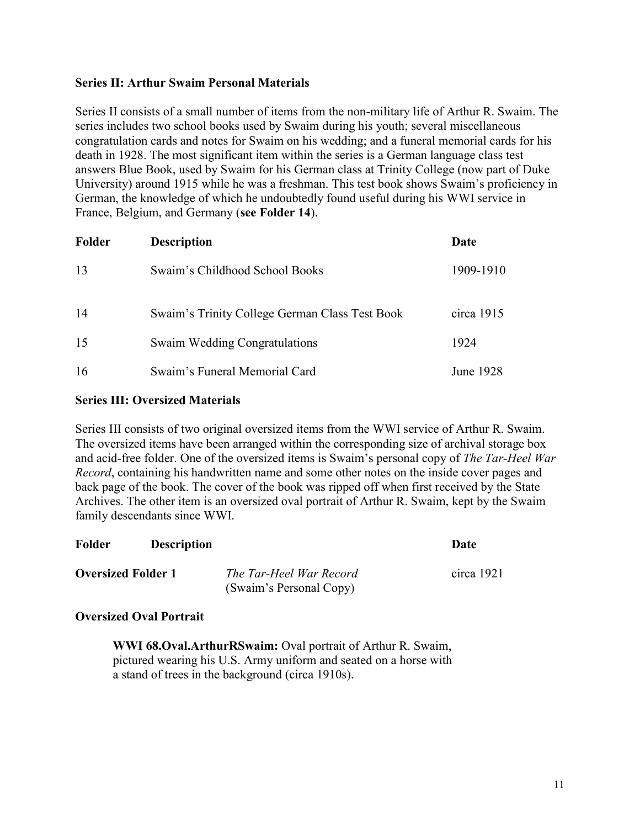# **Series II: Arthur Swaim Personal Materials**

Series II consists of a small number of items from the non-military life of Arthur R. Swaim. The series includes two school books used by Swaim during his youth; several miscellaneous congratulation cards and notes for Swaim on his wedding; and a funeral memorial cards for his death in 1928. The most significant item within the series is a German language class test answers Blue Book, used by Swaim for his German class at Trinity College (now part of Duke University) around 1915 while he was a freshman. This test book shows Swaim's proficiency in German, the knowledge of which he undoubtedly found useful during his WWI service in France, Belgium, and Germany (**see Folder 14**).

| Folder | <b>Description</b>                             | Date       |  |
|--------|------------------------------------------------|------------|--|
| 13     | Swaim's Childhood School Books                 | 1909-1910  |  |
| 14     | Swaim's Trinity College German Class Test Book | circa 1915 |  |
| 15     | <b>Swaim Wedding Congratulations</b>           | 1924       |  |
| 16     | Swaim's Funeral Memorial Card                  | June 1928  |  |

### **Series III: Oversized Materials**

Series III consists of two original oversized items from the WWI service of Arthur R. Swaim. The oversized items have been arranged within the corresponding size of archival storage box and acid-free folder. One of the oversized items is Swaim's personal copy of *The Tar-Heel War Record*, containing his handwritten name and some other notes on the inside cover pages and back page of the book. The cover of the book was ripped off when first received by the State Archives. The other item is an oversized oval portrait of Arthur R. Swaim, kept by the Swaim family descendants since WWI.

| Folder                    | <b>Description</b> |                                                    | Date         |
|---------------------------|--------------------|----------------------------------------------------|--------------|
| <b>Oversized Folder 1</b> |                    | The Tar-Heel War Record<br>(Swaim's Personal Copy) | circa $1921$ |

### **Oversized Oval Portrait**

**WWI 68.Oval.ArthurRSwaim:** Oval portrait of Arthur R. Swaim, pictured wearing his U.S. Army uniform and seated on a horse with a stand of trees in the background (circa 1910s).